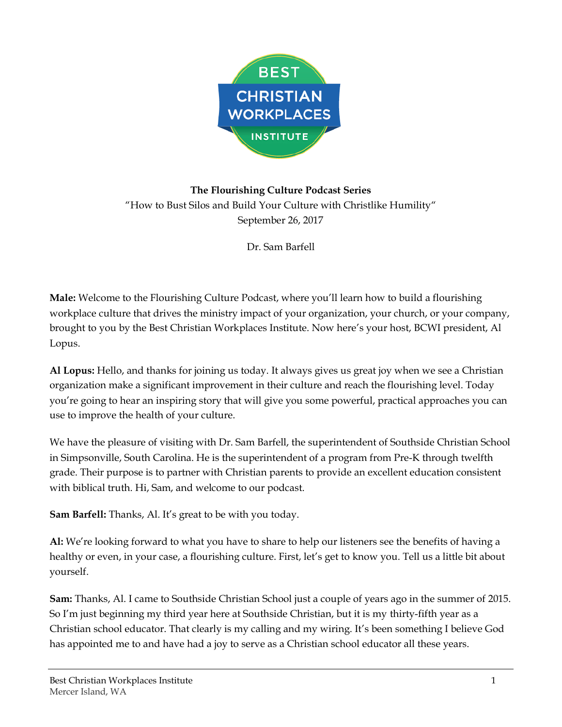

## **The Flourishing Culture Podcast Series** "How to Bust Silos and Build Your Culture with Christlike Humility" September 26, 2017

Dr. Sam Barfell

**Male:** Welcome to the Flourishing Culture Podcast, where you'll learn how to build a flourishing workplace culture that drives the ministry impact of your organization, your church, or your company, brought to you by the Best Christian Workplaces Institute. Now here's your host, BCWI president, Al Lopus.

**Al Lopus:** Hello, and thanks for joining us today. It always gives us great joy when we see a Christian organization make a significant improvement in their culture and reach the flourishing level. Today you're going to hear an inspiring story that will give you some powerful, practical approaches you can use to improve the health of your culture.

We have the pleasure of visiting with Dr. Sam Barfell, the superintendent of Southside Christian School in Simpsonville, South Carolina. He is the superintendent of a program from Pre-K through twelfth grade. Their purpose is to partner with Christian parents to provide an excellent education consistent with biblical truth. Hi, Sam, and welcome to our podcast.

**Sam Barfell:** Thanks, Al. It's great to be with you today.

**Al:** We're looking forward to what you have to share to help our listeners see the benefits of having a healthy or even, in your case, a flourishing culture. First, let's get to know you. Tell us a little bit about yourself.

**Sam:** Thanks, Al. I came to Southside Christian School just a couple of years ago in the summer of 2015. So I'm just beginning my third year here at Southside Christian, but it is my thirty-fifth year as a Christian school educator. That clearly is my calling and my wiring. It's been something I believe God has appointed me to and have had a joy to serve as a Christian school educator all these years.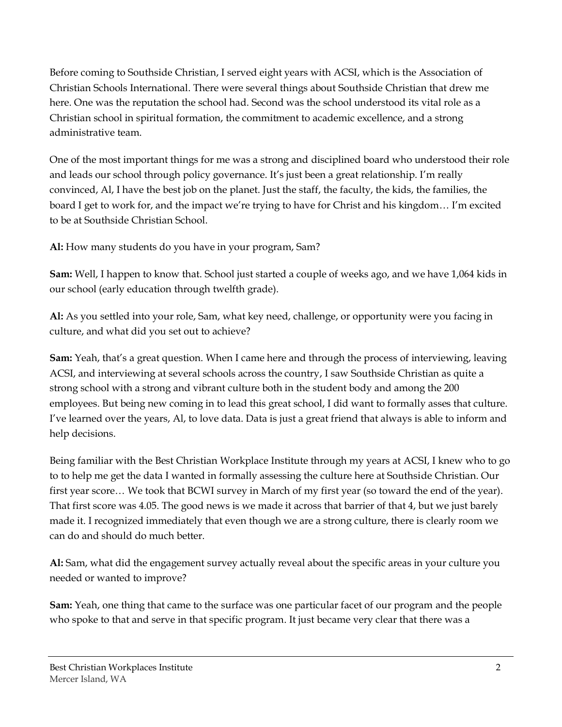Before coming to Southside Christian, I served eight years with ACSI, which is the Association of Christian Schools International. There were several things about Southside Christian that drew me here. One was the reputation the school had. Second was the school understood its vital role as a Christian school in spiritual formation, the commitment to academic excellence, and a strong administrative team.

One of the most important things for me was a strong and disciplined board who understood their role and leads our school through policy governance. It's just been a great relationship. I'm really convinced, Al, I have the best job on the planet. Just the staff, the faculty, the kids, the families, the board I get to work for, and the impact we're trying to have for Christ and his kingdom… I'm excited to be at Southside Christian School.

**Al:** How many students do you have in your program, Sam?

**Sam:** Well, I happen to know that. School just started a couple of weeks ago, and we have 1,064 kids in our school (early education through twelfth grade).

**Al:** As you settled into your role, Sam, what key need, challenge, or opportunity were you facing in culture, and what did you set out to achieve?

**Sam:** Yeah, that's a great question. When I came here and through the process of interviewing, leaving ACSI, and interviewing at several schools across the country, I saw Southside Christian as quite a strong school with a strong and vibrant culture both in the student body and among the 200 employees. But being new coming in to lead this great school, I did want to formally asses that culture. I've learned over the years, Al, to love data. Data is just a great friend that always is able to inform and help decisions.

Being familiar with the Best Christian Workplace Institute through my years at ACSI, I knew who to go to to help me get the data I wanted in formally assessing the culture here at Southside Christian. Our first year score… We took that BCWI survey in March of my first year (so toward the end of the year). That first score was 4.05. The good news is we made it across that barrier of that 4, but we just barely made it. I recognized immediately that even though we are a strong culture, there is clearly room we can do and should do much better.

**Al:** Sam, what did the engagement survey actually reveal about the specific areas in your culture you needed or wanted to improve?

**Sam:** Yeah, one thing that came to the surface was one particular facet of our program and the people who spoke to that and serve in that specific program. It just became very clear that there was a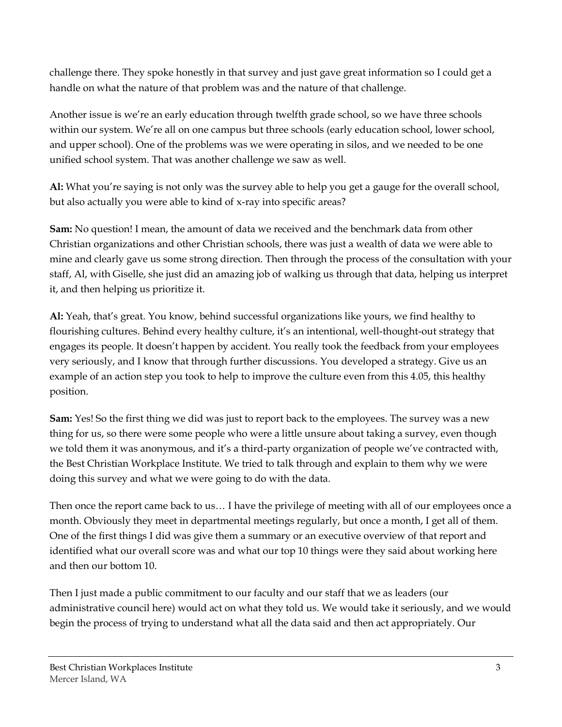challenge there. They spoke honestly in that survey and just gave great information so I could get a handle on what the nature of that problem was and the nature of that challenge.

Another issue is we're an early education through twelfth grade school, so we have three schools within our system. We're all on one campus but three schools (early education school, lower school, and upper school). One of the problems was we were operating in silos, and we needed to be one unified school system. That was another challenge we saw as well.

**Al:** What you're saying is not only was the survey able to help you get a gauge for the overall school, but also actually you were able to kind of x-ray into specific areas?

**Sam:** No question! I mean, the amount of data we received and the benchmark data from other Christian organizations and other Christian schools, there was just a wealth of data we were able to mine and clearly gave us some strong direction. Then through the process of the consultation with your staff, Al, with Giselle, she just did an amazing job of walking us through that data, helping us interpret it, and then helping us prioritize it.

**Al:** Yeah, that's great. You know, behind successful organizations like yours, we find healthy to flourishing cultures. Behind every healthy culture, it's an intentional, well-thought-out strategy that engages its people. It doesn't happen by accident. You really took the feedback from your employees very seriously, and I know that through further discussions. You developed a strategy. Give us an example of an action step you took to help to improve the culture even from this 4.05, this healthy position.

**Sam:** Yes! So the first thing we did was just to report back to the employees. The survey was a new thing for us, so there were some people who were a little unsure about taking a survey, even though we told them it was anonymous, and it's a third-party organization of people we've contracted with, the Best Christian Workplace Institute. We tried to talk through and explain to them why we were doing this survey and what we were going to do with the data.

Then once the report came back to us… I have the privilege of meeting with all of our employees once a month. Obviously they meet in departmental meetings regularly, but once a month, I get all of them. One of the first things I did was give them a summary or an executive overview of that report and identified what our overall score was and what our top 10 things were they said about working here and then our bottom 10.

Then I just made a public commitment to our faculty and our staff that we as leaders (our administrative council here) would act on what they told us. We would take it seriously, and we would begin the process of trying to understand what all the data said and then act appropriately. Our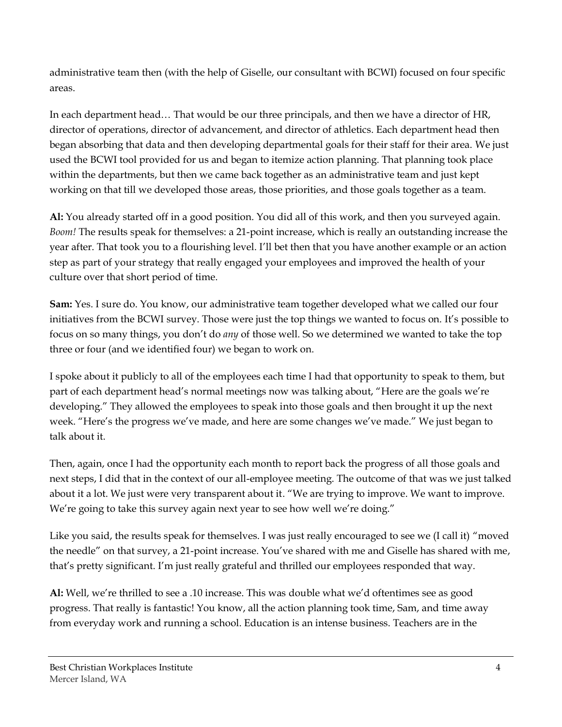administrative team then (with the help of Giselle, our consultant with BCWI) focused on four specific areas.

In each department head… That would be our three principals, and then we have a director of HR, director of operations, director of advancement, and director of athletics. Each department head then began absorbing that data and then developing departmental goals for their staff for their area. We just used the BCWI tool provided for us and began to itemize action planning. That planning took place within the departments, but then we came back together as an administrative team and just kept working on that till we developed those areas, those priorities, and those goals together as a team.

**Al:** You already started off in a good position. You did all of this work, and then you surveyed again. *Boom!* The results speak for themselves: a 21-point increase, which is really an outstanding increase the year after. That took you to a flourishing level. I'll bet then that you have another example or an action step as part of your strategy that really engaged your employees and improved the health of your culture over that short period of time.

**Sam:** Yes. I sure do. You know, our administrative team together developed what we called our four initiatives from the BCWI survey. Those were just the top things we wanted to focus on. It's possible to focus on so many things, you don't do *any* of those well. So we determined we wanted to take the top three or four (and we identified four) we began to work on.

I spoke about it publicly to all of the employees each time I had that opportunity to speak to them, but part of each department head's normal meetings now was talking about, "Here are the goals we're developing." They allowed the employees to speak into those goals and then brought it up the next week. "Here's the progress we've made, and here are some changes we've made." We just began to talk about it.

Then, again, once I had the opportunity each month to report back the progress of all those goals and next steps, I did that in the context of our all-employee meeting. The outcome of that was we just talked about it a lot. We just were very transparent about it. "We are trying to improve. We want to improve. We're going to take this survey again next year to see how well we're doing."

Like you said, the results speak for themselves. I was just really encouraged to see we (I call it) "moved the needle" on that survey, a 21-point increase. You've shared with me and Giselle has shared with me, that's pretty significant. I'm just really grateful and thrilled our employees responded that way.

**Al:** Well, we're thrilled to see a .10 increase. This was double what we'd oftentimes see as good progress. That really is fantastic! You know, all the action planning took time, Sam, and time away from everyday work and running a school. Education is an intense business. Teachers are in the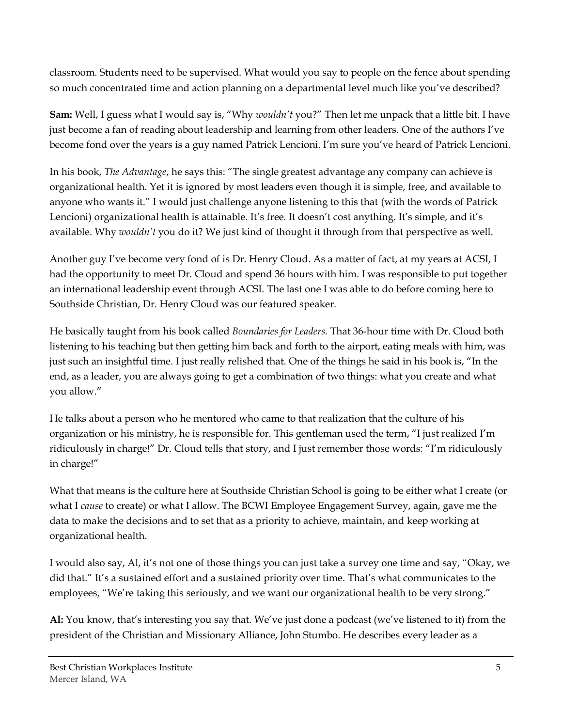classroom. Students need to be supervised. What would you say to people on the fence about spending so much concentrated time and action planning on a departmental level much like you've described?

**Sam:** Well, I guess what I would say is, "Why *wouldn't* you?" Then let me unpack that a little bit. I have just become a fan of reading about leadership and learning from other leaders. One of the authors I've become fond over the years is a guy named Patrick Lencioni. I'm sure you've heard of Patrick Lencioni.

In his book, *The Advantage*, he says this: "The single greatest advantage any company can achieve is organizational health. Yet it is ignored by most leaders even though it is simple, free, and available to anyone who wants it." I would just challenge anyone listening to this that (with the words of Patrick Lencioni) organizational health is attainable. It's free. It doesn't cost anything. It's simple, and it's available. Why *wouldn't* you do it? We just kind of thought it through from that perspective as well.

Another guy I've become very fond of is Dr. Henry Cloud. As a matter of fact, at my years at ACSI, I had the opportunity to meet Dr. Cloud and spend 36 hours with him. I was responsible to put together an international leadership event through ACSI. The last one I was able to do before coming here to Southside Christian, Dr. Henry Cloud was our featured speaker.

He basically taught from his book called *Boundaries for Leaders.* That 36-hour time with Dr. Cloud both listening to his teaching but then getting him back and forth to the airport, eating meals with him, was just such an insightful time. I just really relished that. One of the things he said in his book is, "In the end, as a leader, you are always going to get a combination of two things: what you create and what you allow."

He talks about a person who he mentored who came to that realization that the culture of his organization or his ministry, he is responsible for. This gentleman used the term, "I just realized I'm ridiculously in charge!" Dr. Cloud tells that story, and I just remember those words: "I'm ridiculously in charge!"

What that means is the culture here at Southside Christian School is going to be either what I create (or what I *cause* to create) or what I allow. The BCWI Employee Engagement Survey, again, gave me the data to make the decisions and to set that as a priority to achieve, maintain, and keep working at organizational health.

I would also say, Al, it's not one of those things you can just take a survey one time and say, "Okay, we did that." It's a sustained effort and a sustained priority over time. That's what communicates to the employees, "We're taking this seriously, and we want our organizational health to be very strong."

**Al:** You know, that's interesting you say that. We've just done a podcast (we've listened to it) from the president of the Christian and Missionary Alliance, John Stumbo. He describes every leader as a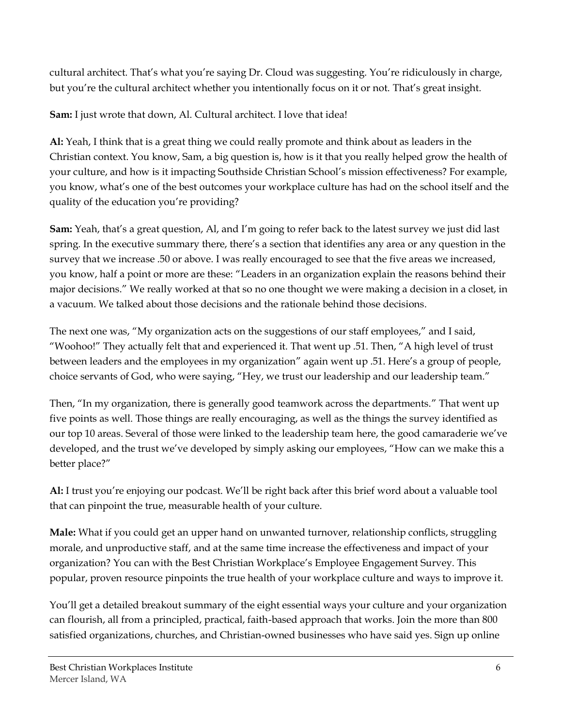cultural architect. That's what you're saying Dr. Cloud was suggesting. You're ridiculously in charge, but you're the cultural architect whether you intentionally focus on it or not. That's great insight.

**Sam:** I just wrote that down, Al. Cultural architect. I love that idea!

**Al:** Yeah, I think that is a great thing we could really promote and think about as leaders in the Christian context. You know, Sam, a big question is, how is it that you really helped grow the health of your culture, and how is it impacting Southside Christian School's mission effectiveness? For example, you know, what's one of the best outcomes your workplace culture has had on the school itself and the quality of the education you're providing?

**Sam:** Yeah, that's a great question, Al, and I'm going to refer back to the latest survey we just did last spring. In the executive summary there, there's a section that identifies any area or any question in the survey that we increase .50 or above. I was really encouraged to see that the five areas we increased, you know, half a point or more are these: "Leaders in an organization explain the reasons behind their major decisions." We really worked at that so no one thought we were making a decision in a closet, in a vacuum. We talked about those decisions and the rationale behind those decisions.

The next one was, "My organization acts on the suggestions of our staff employees," and I said, "Woohoo!" They actually felt that and experienced it. That went up .51. Then, "A high level of trust between leaders and the employees in my organization" again went up .51. Here's a group of people, choice servants of God, who were saying, "Hey, we trust our leadership and our leadership team."

Then, "In my organization, there is generally good teamwork across the departments." That went up five points as well. Those things are really encouraging, as well as the things the survey identified as our top 10 areas. Several of those were linked to the leadership team here, the good camaraderie we've developed, and the trust we've developed by simply asking our employees, "How can we make this a better place?"

**Al:** I trust you're enjoying our podcast. We'll be right back after this brief word about a valuable tool that can pinpoint the true, measurable health of your culture.

**Male:** What if you could get an upper hand on unwanted turnover, relationship conflicts, struggling morale, and unproductive staff, and at the same time increase the effectiveness and impact of your organization? You can with the Best Christian Workplace's Employee Engagement Survey. This popular, proven resource pinpoints the true health of your workplace culture and ways to improve it.

You'll get a detailed breakout summary of the eight essential ways your culture and your organization can flourish, all from a principled, practical, faith-based approach that works. Join the more than 800 satisfied organizations, churches, and Christian-owned businesses who have said yes. Sign up online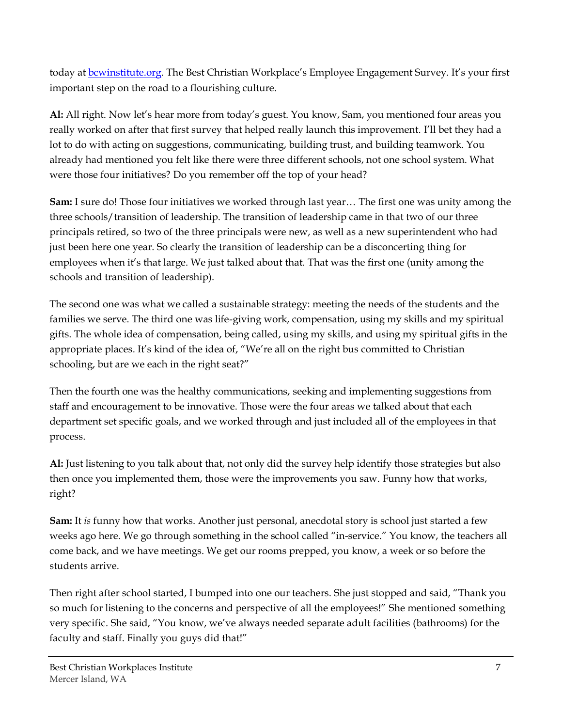today at [bcwinstitute.org.](http://bcwinstitute.org/) The Best Christian Workplace's Employee Engagement Survey. It's your first important step on the road to a flourishing culture.

**Al:** All right. Now let's hear more from today's guest. You know, Sam, you mentioned four areas you really worked on after that first survey that helped really launch this improvement. I'll bet they had a lot to do with acting on suggestions, communicating, building trust, and building teamwork. You already had mentioned you felt like there were three different schools, not one school system. What were those four initiatives? Do you remember off the top of your head?

**Sam:** I sure do! Those four initiatives we worked through last year… The first one was unity among the three schools/transition of leadership. The transition of leadership came in that two of our three principals retired, so two of the three principals were new, as well as a new superintendent who had just been here one year. So clearly the transition of leadership can be a disconcerting thing for employees when it's that large. We just talked about that. That was the first one (unity among the schools and transition of leadership).

The second one was what we called a sustainable strategy: meeting the needs of the students and the families we serve. The third one was life-giving work, compensation, using my skills and my spiritual gifts. The whole idea of compensation, being called, using my skills, and using my spiritual gifts in the appropriate places. It's kind of the idea of, "We're all on the right bus committed to Christian schooling, but are we each in the right seat?"

Then the fourth one was the healthy communications, seeking and implementing suggestions from staff and encouragement to be innovative. Those were the four areas we talked about that each department set specific goals, and we worked through and just included all of the employees in that process.

**Al:** Just listening to you talk about that, not only did the survey help identify those strategies but also then once you implemented them, those were the improvements you saw. Funny how that works, right?

**Sam:** It *is* funny how that works. Another just personal, anecdotal story is school just started a few weeks ago here. We go through something in the school called "in-service." You know, the teachers all come back, and we have meetings. We get our rooms prepped, you know, a week or so before the students arrive.

Then right after school started, I bumped into one our teachers. She just stopped and said, "Thank you so much for listening to the concerns and perspective of all the employees!" She mentioned something very specific. She said, "You know, we've always needed separate adult facilities (bathrooms) for the faculty and staff. Finally you guys did that!"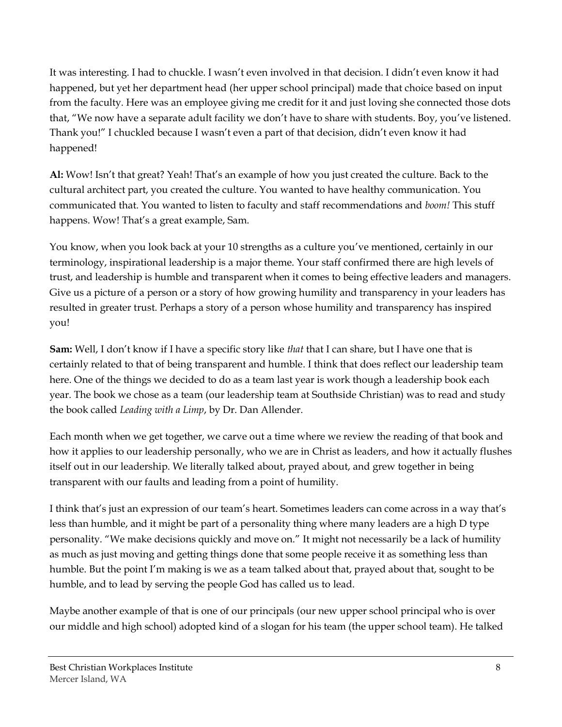It was interesting. I had to chuckle. I wasn't even involved in that decision. I didn't even know it had happened, but yet her department head (her upper school principal) made that choice based on input from the faculty. Here was an employee giving me credit for it and just loving she connected those dots that, "We now have a separate adult facility we don't have to share with students. Boy, you've listened. Thank you!" I chuckled because I wasn't even a part of that decision, didn't even know it had happened!

**Al:** Wow! Isn't that great? Yeah! That's an example of how you just created the culture. Back to the cultural architect part, you created the culture. You wanted to have healthy communication. You communicated that. You wanted to listen to faculty and staff recommendations and *boom!* This stuff happens. Wow! That's a great example, Sam.

You know, when you look back at your 10 strengths as a culture you've mentioned, certainly in our terminology, inspirational leadership is a major theme. Your staff confirmed there are high levels of trust, and leadership is humble and transparent when it comes to being effective leaders and managers. Give us a picture of a person or a story of how growing humility and transparency in your leaders has resulted in greater trust. Perhaps a story of a person whose humility and transparency has inspired you!

**Sam:** Well, I don't know if I have a specific story like *that* that I can share, but I have one that is certainly related to that of being transparent and humble. I think that does reflect our leadership team here. One of the things we decided to do as a team last year is work though a leadership book each year. The book we chose as a team (our leadership team at Southside Christian) was to read and study the book called *Leading with a Limp*, by Dr. Dan Allender.

Each month when we get together, we carve out a time where we review the reading of that book and how it applies to our leadership personally, who we are in Christ as leaders, and how it actually flushes itself out in our leadership. We literally talked about, prayed about, and grew together in being transparent with our faults and leading from a point of humility.

I think that's just an expression of our team's heart. Sometimes leaders can come across in a way that's less than humble, and it might be part of a personality thing where many leaders are a high D type personality. "We make decisions quickly and move on." It might not necessarily be a lack of humility as much as just moving and getting things done that some people receive it as something less than humble. But the point I'm making is we as a team talked about that, prayed about that, sought to be humble, and to lead by serving the people God has called us to lead.

Maybe another example of that is one of our principals (our new upper school principal who is over our middle and high school) adopted kind of a slogan for his team (the upper school team). He talked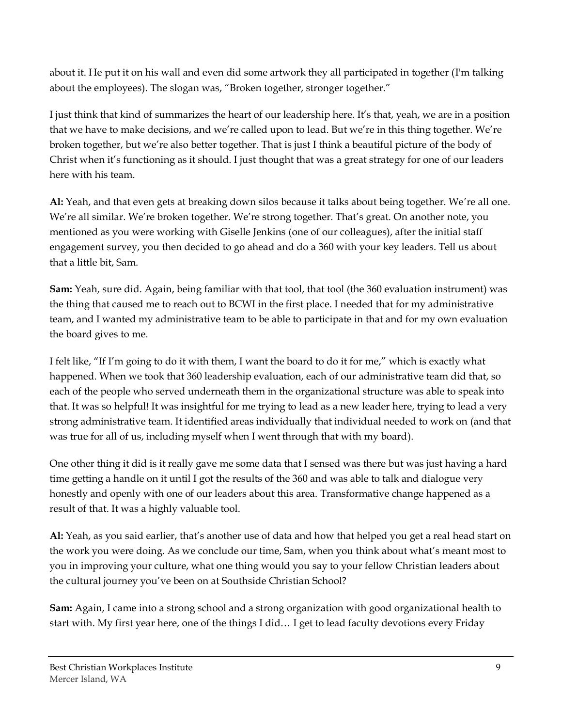about it. He put it on his wall and even did some artwork they all participated in together (I'm talking about the employees). The slogan was, "Broken together, stronger together."

I just think that kind of summarizes the heart of our leadership here. It's that, yeah, we are in a position that we have to make decisions, and we're called upon to lead. But we're in this thing together. We're broken together, but we're also better together. That is just I think a beautiful picture of the body of Christ when it's functioning as it should. I just thought that was a great strategy for one of our leaders here with his team.

**Al:** Yeah, and that even gets at breaking down silos because it talks about being together. We're all one. We're all similar. We're broken together. We're strong together. That's great. On another note, you mentioned as you were working with Giselle Jenkins (one of our colleagues), after the initial staff engagement survey, you then decided to go ahead and do a 360 with your key leaders. Tell us about that a little bit, Sam.

**Sam:** Yeah, sure did. Again, being familiar with that tool, that tool (the 360 evaluation instrument) was the thing that caused me to reach out to BCWI in the first place. I needed that for my administrative team, and I wanted my administrative team to be able to participate in that and for my own evaluation the board gives to me.

I felt like, "If I'm going to do it with them, I want the board to do it for me," which is exactly what happened. When we took that 360 leadership evaluation, each of our administrative team did that, so each of the people who served underneath them in the organizational structure was able to speak into that. It was so helpful! It was insightful for me trying to lead as a new leader here, trying to lead a very strong administrative team. It identified areas individually that individual needed to work on (and that was true for all of us, including myself when I went through that with my board).

One other thing it did is it really gave me some data that I sensed was there but was just having a hard time getting a handle on it until I got the results of the 360 and was able to talk and dialogue very honestly and openly with one of our leaders about this area. Transformative change happened as a result of that. It was a highly valuable tool.

**Al:** Yeah, as you said earlier, that's another use of data and how that helped you get a real head start on the work you were doing. As we conclude our time, Sam, when you think about what's meant most to you in improving your culture, what one thing would you say to your fellow Christian leaders about the cultural journey you've been on at Southside Christian School?

**Sam:** Again, I came into a strong school and a strong organization with good organizational health to start with. My first year here, one of the things I did… I get to lead faculty devotions every Friday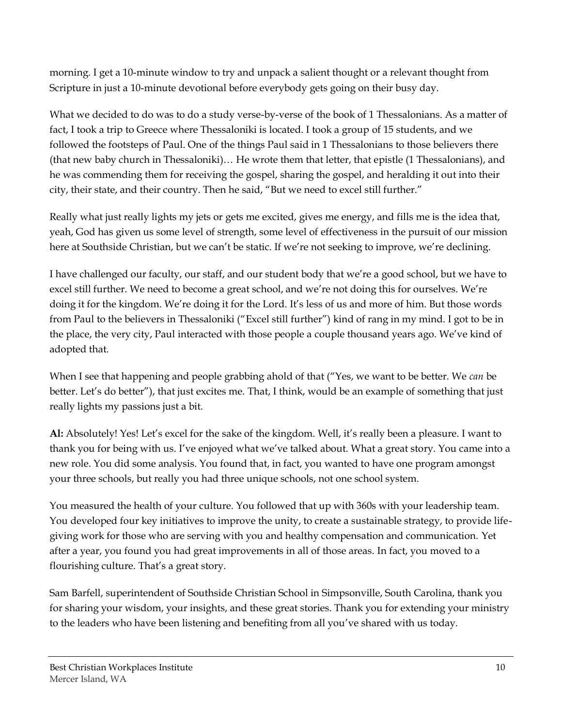morning. I get a 10-minute window to try and unpack a salient thought or a relevant thought from Scripture in just a 10-minute devotional before everybody gets going on their busy day.

What we decided to do was to do a study verse-by-verse of the book of 1 Thessalonians. As a matter of fact, I took a trip to Greece where Thessaloniki is located. I took a group of 15 students, and we followed the footsteps of Paul. One of the things Paul said in 1 Thessalonians to those believers there (that new baby church in Thessaloniki)… He wrote them that letter, that epistle (1 Thessalonians), and he was commending them for receiving the gospel, sharing the gospel, and heralding it out into their city, their state, and their country. Then he said, "But we need to excel still further."

Really what just really lights my jets or gets me excited, gives me energy, and fills me is the idea that, yeah, God has given us some level of strength, some level of effectiveness in the pursuit of our mission here at Southside Christian, but we can't be static. If we're not seeking to improve, we're declining.

I have challenged our faculty, our staff, and our student body that we're a good school, but we have to excel still further. We need to become a great school, and we're not doing this for ourselves. We're doing it for the kingdom. We're doing it for the Lord. It's less of us and more of him. But those words from Paul to the believers in Thessaloniki ("Excel still further") kind of rang in my mind. I got to be in the place, the very city, Paul interacted with those people a couple thousand years ago. We've kind of adopted that.

When I see that happening and people grabbing ahold of that ("Yes, we want to be better. We *can* be better. Let's do better"), that just excites me. That, I think, would be an example of something that just really lights my passions just a bit.

**Al:** Absolutely! Yes! Let's excel for the sake of the kingdom. Well, it's really been a pleasure. I want to thank you for being with us. I've enjoyed what we've talked about. What a great story. You came into a new role. You did some analysis. You found that, in fact, you wanted to have one program amongst your three schools, but really you had three unique schools, not one school system.

You measured the health of your culture. You followed that up with 360s with your leadership team. You developed four key initiatives to improve the unity, to create a sustainable strategy, to provide lifegiving work for those who are serving with you and healthy compensation and communication. Yet after a year, you found you had great improvements in all of those areas. In fact, you moved to a flourishing culture. That's a great story.

Sam Barfell, superintendent of Southside Christian School in Simpsonville, South Carolina, thank you for sharing your wisdom, your insights, and these great stories. Thank you for extending your ministry to the leaders who have been listening and benefiting from all you've shared with us today.